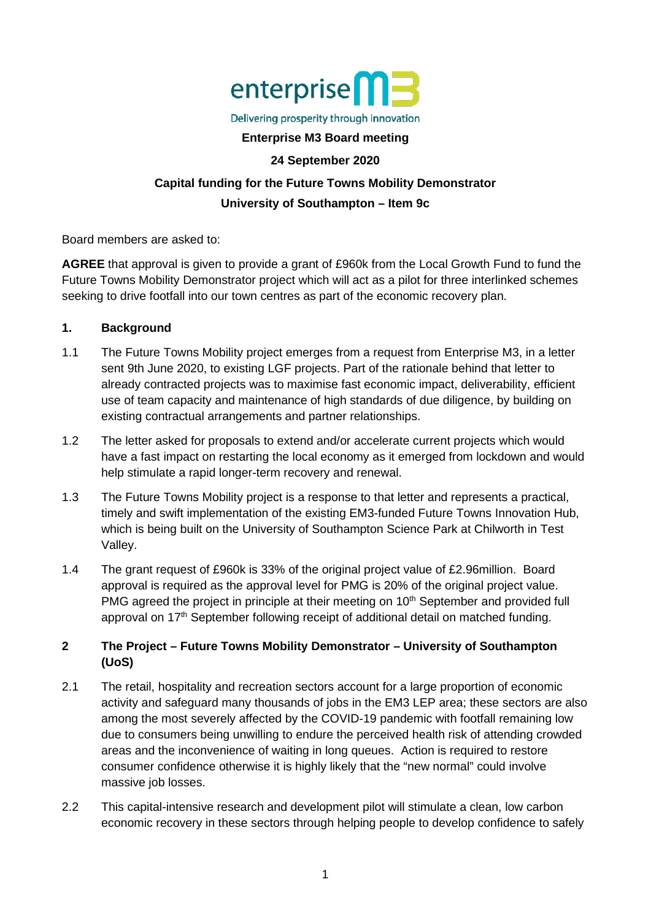

#### Delivering prosperity through innovation

### **Enterprise M3 Board meeting**

#### **24 September 2020**

# **Capital funding for the Future Towns Mobility Demonstrator University of Southampton – Item 9c**

Board members are asked to:

**AGREE** that approval is given to provide a grant of £960k from the Local Growth Fund to fund the Future Towns Mobility Demonstrator project which will act as a pilot for three interlinked schemes seeking to drive footfall into our town centres as part of the economic recovery plan.

### **1. Background**

- 1.1 The Future Towns Mobility project emerges from a request from Enterprise M3, in a letter sent 9th June 2020, to existing LGF projects. Part of the rationale behind that letter to already contracted projects was to maximise fast economic impact, deliverability, efficient use of team capacity and maintenance of high standards of due diligence, by building on existing contractual arrangements and partner relationships.
- 1.2 The letter asked for proposals to extend and/or accelerate current projects which would have a fast impact on restarting the local economy as it emerged from lockdown and would help stimulate a rapid longer-term recovery and renewal.
- 1.3 The Future Towns Mobility project is a response to that letter and represents a practical, timely and swift implementation of the existing EM3-funded Future Towns Innovation Hub, which is being built on the University of Southampton Science Park at Chilworth in Test Valley.
- 1.4 The grant request of £960k is 33% of the original project value of £2.96million. Board approval is required as the approval level for PMG is 20% of the original project value. PMG agreed the project in principle at their meeting on 10<sup>th</sup> September and provided full approval on 17<sup>th</sup> September following receipt of additional detail on matched funding.

# **2 The Project – Future Towns Mobility Demonstrator – University of Southampton (UoS)**

- 2.1 The retail, hospitality and recreation sectors account for a large proportion of economic activity and safeguard many thousands of jobs in the EM3 LEP area; these sectors are also among the most severely affected by the COVID-19 pandemic with footfall remaining low due to consumers being unwilling to endure the perceived health risk of attending crowded areas and the inconvenience of waiting in long queues. Action is required to restore consumer confidence otherwise it is highly likely that the "new normal" could involve massive job losses.
- 2.2 This capital-intensive research and development pilot will stimulate a clean, low carbon economic recovery in these sectors through helping people to develop confidence to safely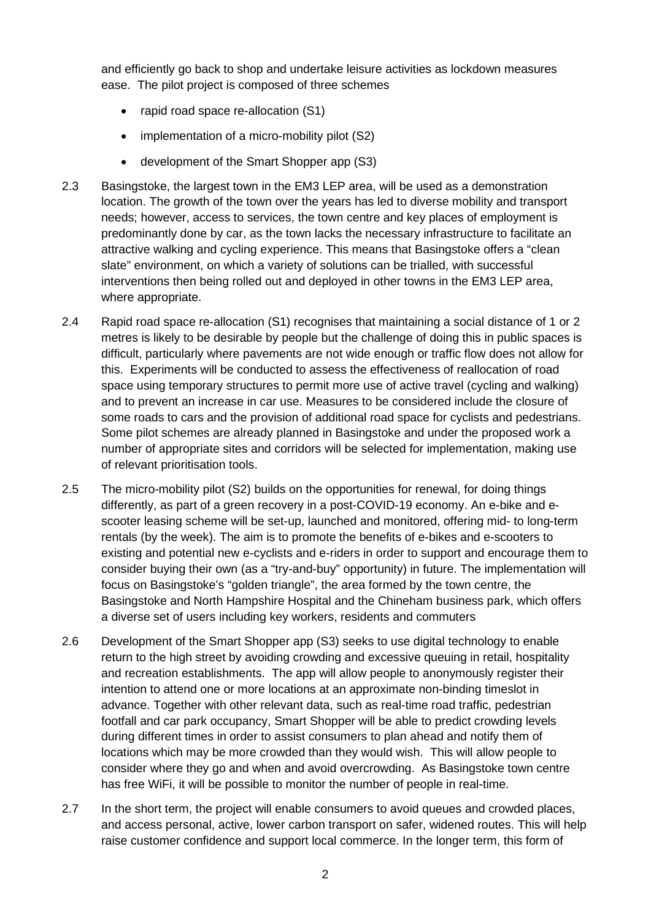and efficiently go back to shop and undertake leisure activities as lockdown measures ease. The pilot project is composed of three schemes

- rapid road space re-allocation (S1)
- implementation of a micro-mobility pilot (S2)
- development of the Smart Shopper app (S3)
- 2.3 Basingstoke, the largest town in the EM3 LEP area, will be used as a demonstration location. The growth of the town over the years has led to diverse mobility and transport needs; however, access to services, the town centre and key places of employment is predominantly done by car, as the town lacks the necessary infrastructure to facilitate an attractive walking and cycling experience. This means that Basingstoke offers a "clean slate" environment, on which a variety of solutions can be trialled, with successful interventions then being rolled out and deployed in other towns in the EM3 LEP area, where appropriate.
- 2.4 Rapid road space re-allocation (S1) recognises that maintaining a social distance of 1 or 2 metres is likely to be desirable by people but the challenge of doing this in public spaces is difficult, particularly where pavements are not wide enough or traffic flow does not allow for this. Experiments will be conducted to assess the effectiveness of reallocation of road space using temporary structures to permit more use of active travel (cycling and walking) and to prevent an increase in car use. Measures to be considered include the closure of some roads to cars and the provision of additional road space for cyclists and pedestrians. Some pilot schemes are already planned in Basingstoke and under the proposed work a number of appropriate sites and corridors will be selected for implementation, making use of relevant prioritisation tools.
- 2.5 The micro-mobility pilot (S2) builds on the opportunities for renewal, for doing things differently, as part of a green recovery in a post-COVID-19 economy. An e-bike and escooter leasing scheme will be set-up, launched and monitored, offering mid- to long-term rentals (by the week). The aim is to promote the benefits of e-bikes and e-scooters to existing and potential new e-cyclists and e-riders in order to support and encourage them to consider buying their own (as a "try-and-buy" opportunity) in future. The implementation will focus on Basingstoke's "golden triangle", the area formed by the town centre, the Basingstoke and North Hampshire Hospital and the Chineham business park, which offers a diverse set of users including key workers, residents and commuters
- 2.6 Development of the Smart Shopper app (S3) seeks to use digital technology to enable return to the high street by avoiding crowding and excessive queuing in retail, hospitality and recreation establishments. The app will allow people to anonymously register their intention to attend one or more locations at an approximate non-binding timeslot in advance. Together with other relevant data, such as real-time road traffic, pedestrian footfall and car park occupancy, Smart Shopper will be able to predict crowding levels during different times in order to assist consumers to plan ahead and notify them of locations which may be more crowded than they would wish. This will allow people to consider where they go and when and avoid overcrowding. As Basingstoke town centre has free WiFi, it will be possible to monitor the number of people in real-time.
- 2.7 In the short term, the project will enable consumers to avoid queues and crowded places, and access personal, active, lower carbon transport on safer, widened routes. This will help raise customer confidence and support local commerce. In the longer term, this form of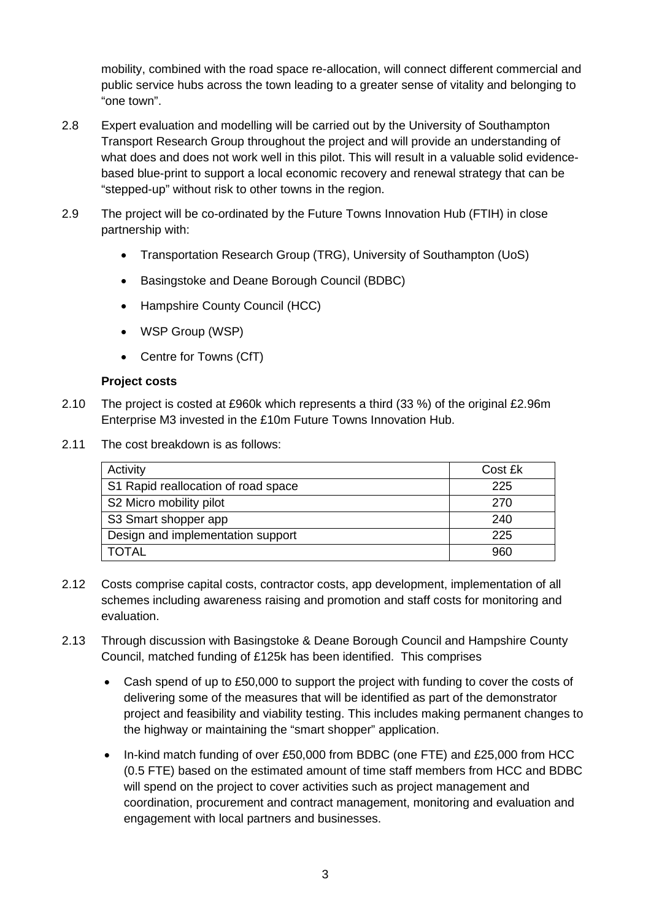mobility, combined with the road space re-allocation, will connect different commercial and public service hubs across the town leading to a greater sense of vitality and belonging to "one town".

- 2.8 Expert evaluation and modelling will be carried out by the University of Southampton Transport Research Group throughout the project and will provide an understanding of what does and does not work well in this pilot. This will result in a valuable solid evidencebased blue-print to support a local economic recovery and renewal strategy that can be "stepped-up" without risk to other towns in the region.
- 2.9 The project will be co-ordinated by the Future Towns Innovation Hub (FTIH) in close partnership with:
	- Transportation Research Group (TRG), University of Southampton (UoS)
	- Basingstoke and Deane Borough Council (BDBC)
	- Hampshire County Council (HCC)
	- WSP Group (WSP)
	- Centre for Towns (CfT)

# **Project costs**

- 2.10 The project is costed at £960k which represents a third (33 %) of the original £2.96m Enterprise M3 invested in the £10m Future Towns Innovation Hub.
- 2.11 The cost breakdown is as follows:

| Activity                            | Cost £k |
|-------------------------------------|---------|
| S1 Rapid reallocation of road space | 225     |
| S2 Micro mobility pilot             | 270     |
| S3 Smart shopper app                | 240     |
| Design and implementation support   | 225     |
| <b>TOTAL</b>                        | 960     |

- 2.12 Costs comprise capital costs, contractor costs, app development, implementation of all schemes including awareness raising and promotion and staff costs for monitoring and evaluation.
- 2.13 Through discussion with Basingstoke & Deane Borough Council and Hampshire County Council, matched funding of £125k has been identified. This comprises
	- Cash spend of up to £50,000 to support the project with funding to cover the costs of delivering some of the measures that will be identified as part of the demonstrator project and feasibility and viability testing. This includes making permanent changes to the highway or maintaining the "smart shopper" application.
	- In-kind match funding of over £50,000 from BDBC (one FTE) and £25,000 from HCC (0.5 FTE) based on the estimated amount of time staff members from HCC and BDBC will spend on the project to cover activities such as project management and coordination, procurement and contract management, monitoring and evaluation and engagement with local partners and businesses.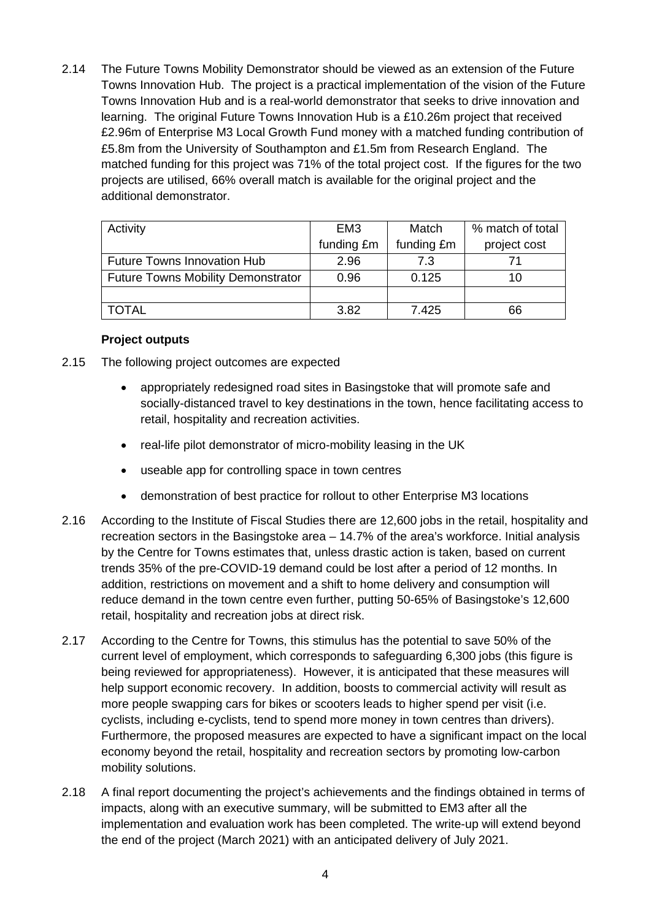2.14 The Future Towns Mobility Demonstrator should be viewed as an extension of the Future Towns Innovation Hub. The project is a practical implementation of the vision of the Future Towns Innovation Hub and is a real-world demonstrator that seeks to drive innovation and learning. The original Future Towns Innovation Hub is a £10.26m project that received £2.96m of Enterprise M3 Local Growth Fund money with a matched funding contribution of £5.8m from the University of Southampton and £1.5m from Research England. The matched funding for this project was 71% of the total project cost. If the figures for the two projects are utilised, 66% overall match is available for the original project and the additional demonstrator.

| Activity                                  | EM <sub>3</sub> | Match      | % match of total |
|-------------------------------------------|-----------------|------------|------------------|
|                                           | funding £m      | funding £m | project cost     |
| <b>Future Towns Innovation Hub</b>        | 2.96            | 7.3        |                  |
| <b>Future Towns Mobility Demonstrator</b> | 0.96            | 0.125      | 10               |
|                                           |                 |            |                  |
| <b>TOTAL</b>                              | 3.82            | 7.425      | 66               |

# **Project outputs**

- 2.15 The following project outcomes are expected
	- appropriately redesigned road sites in Basingstoke that will promote safe and socially-distanced travel to key destinations in the town, hence facilitating access to retail, hospitality and recreation activities.
	- real-life pilot demonstrator of micro-mobility leasing in the UK
	- useable app for controlling space in town centres
	- demonstration of best practice for rollout to other Enterprise M3 locations
- 2.16 According to the Institute of Fiscal Studies there are 12,600 jobs in the retail, hospitality and recreation sectors in the Basingstoke area – 14.7% of the area's workforce. Initial analysis by the Centre for Towns estimates that, unless drastic action is taken, based on current trends 35% of the pre-COVID-19 demand could be lost after a period of 12 months. In addition, restrictions on movement and a shift to home delivery and consumption will reduce demand in the town centre even further, putting 50-65% of Basingstoke's 12,600 retail, hospitality and recreation jobs at direct risk.
- 2.17 According to the Centre for Towns, this stimulus has the potential to save 50% of the current level of employment, which corresponds to safeguarding 6,300 jobs (this figure is being reviewed for appropriateness). However, it is anticipated that these measures will help support economic recovery. In addition, boosts to commercial activity will result as more people swapping cars for bikes or scooters leads to higher spend per visit (i.e. cyclists, including e-cyclists, tend to spend more money in town centres than drivers). Furthermore, the proposed measures are expected to have a significant impact on the local economy beyond the retail, hospitality and recreation sectors by promoting low-carbon mobility solutions.
- 2.18 A final report documenting the project's achievements and the findings obtained in terms of impacts, along with an executive summary, will be submitted to EM3 after all the implementation and evaluation work has been completed. The write-up will extend beyond the end of the project (March 2021) with an anticipated delivery of July 2021.